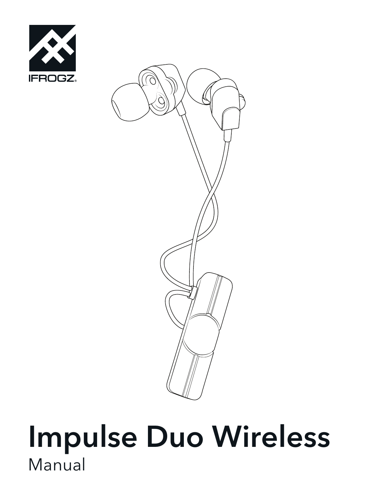



# Impulse Duo Wireless Manual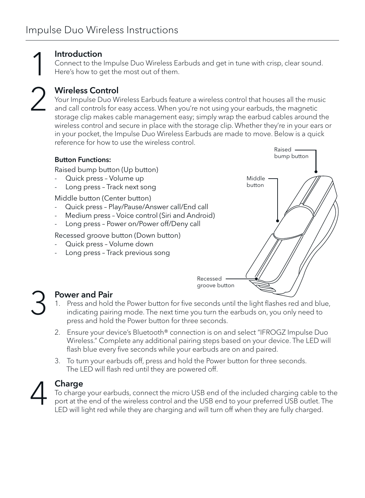1 2

### Introduction

Connect to the Impulse Duo Wireless Earbuds and get in tune with crisp, clear sound. Here's how to get the most out of them.

Wireless Control

Your Impulse Duo Wireless Earbuds feature a wireless control that houses all the music and call controls for easy access. When you're not using your earbuds, the magnetic storage clip makes cable management easy; simply wrap the earbud cables around the wireless control and secure in place with the storage clip. Whether they're in your ears or in your pocket, the Impulse Duo Wireless Earbuds are made to move. Below is a quick reference for how to use the wireless control.



## Power and Pair

- 1. Press and hold the Power button for five seconds until the light flashes red and blue, indicating pairing mode. The next time you turn the earbuds on, you only need to press and hold the Power button for three seconds.
- 2. Ensure your device's Bluetooth® connection is on and select "IFROGZ Impulse Duo Wireless." Complete any additional pairing steps based on your device. The LED will flash blue every five seconds while your earbuds are on and paired.
- 3. To turn your earbuds off, press and hold the Power button for three seconds. The LED will flash red until they are powered off.



3

#### Charge

To charge your earbuds, connect the micro USB end of the included charging cable to the port at the end of the wireless control and the USB end to your preferred USB outlet. The LED will light red while they are charging and will turn off when they are fully charged.